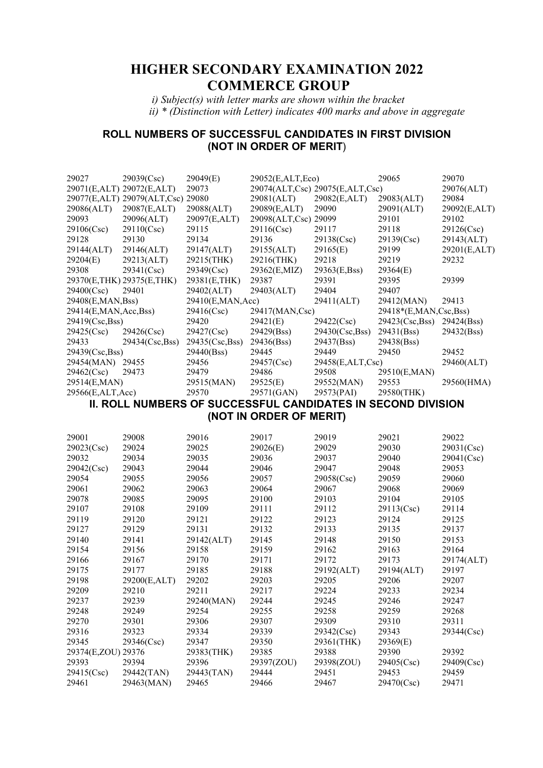# **HIGHER SECONDARY EXAMINATION 2022 COMMERCE GROUP**

 *i) Subject(s) with letter marks are shown within the bracket ii) \* (Distinction with Letter) indicates 400 marks and above in aggregate* 

## **ROLL NUMBERS OF SUCCESSFUL CANDIDATES IN FIRST DIVISION (NOT IN ORDER OF MERIT**)

| 29027                  | 29039(Csc)                        | 29049(E)         | 29052(E,ALT,Eco)        |                                 | 29065                                                               | 29070        |
|------------------------|-----------------------------------|------------------|-------------------------|---------------------------------|---------------------------------------------------------------------|--------------|
|                        | 29071(E,ALT) 29072(E,ALT)         | 29073            |                         | 29074(ALT,Csc) 29075(E,ALT,Csc) |                                                                     | 29076(ALT)   |
|                        | 29077(E,ALT) 29079(ALT,Csc) 29080 |                  | 29081(ALT)              | 29082(E,ALT)                    | 29083(ALT)                                                          | 29084        |
| 29086(ALT)             | 29087(E,ALT)                      | 29088(ALT)       | 29089(E,ALT)            | 29090                           | 29091(ALT)                                                          | 29092(E,ALT) |
| 29093                  | 29096(ALT)                        | 29097(E,ALT)     | 29098(ALT,Csc) 29099    |                                 | 29101                                                               | 29102        |
| 29106(Csc)             | 29110(Csc)                        | 29115            | 29116(Csc)              | 29117                           | 29118                                                               | 29126(Csc)   |
| 29128                  | 29130                             | 29134            | 29136                   | 29138(Csc)                      | 29139(Csc)                                                          | 29143(ALT)   |
| 29144(ALT)             | 29146(ALT)                        | 29147(ALT)       | 29155(ALT)              | 29165(E)                        | 29199                                                               | 29201(E,ALT) |
| 29204(E)               | 29213(ALT)                        | 29215(THK)       | 29216(THK)              | 29218                           | 29219                                                               | 29232        |
| 29308                  | 29341(Csc)                        | 29349(Csc)       | 29362(E,MIZ)            | 29363(E,Bss)                    | 29364(E)                                                            |              |
|                        | 29370(E,THK) 29375(E,THK)         | 29381(E,THK)     | 29387                   | 29391                           | 29395                                                               | 29399        |
| 29400(Csc)             | 29401                             | 29402(ALT)       | 29403(ALT)              | 29404                           | 29407                                                               |              |
| 29408(E,MAN,Bss)       |                                   | 29410(E,MAN,Acc) |                         | 29411(ALT)                      | 29412(MAN)                                                          | 29413        |
| 29414(E,MAN, Acc, Bss) |                                   | 29416(Csc)       | 29417(MAN,Csc)          |                                 | 29418*(E,MAN,Csc,Bss)                                               |              |
| 29419(Csc,Bss)         |                                   | 29420            | 29421(E)                | 29422(Csc)                      | 29423(Csc,Bss)                                                      | 29424(Bss)   |
| 29425(Csc)             | 29426(Csc)                        | 29427(Csc)       | 29429(Bss)              | 29430(Csc,Bss)                  | 29431(Bss)                                                          | 29432(Bss)   |
| 29433                  | 29434(Csc,Bss)                    | 29435(Csc,Bss)   | 29436(Bss)              | 29437(Bss)                      | 29438(Bss)                                                          |              |
| 29439(Csc,Bss)         |                                   | 29440(Bss)       | 29445                   | 29449                           | 29450                                                               | 29452        |
| 29454(MAN) 29455       |                                   | 29456            | 29457(Csc)              | 29458(E,ALT,Csc)                |                                                                     | 29460(ALT)   |
| 29462(Csc)             | 29473                             | 29479            | 29486                   | 29508                           | 29510(E,MAN)                                                        |              |
| 29514(E,MAN)           |                                   | 29515(MAN)       | 29525(E)                | 29552(MAN)                      | 29553                                                               | 29560(HMA)   |
| 29566(E,ALT,Acc)       |                                   | 29570            | 29571(GAN)              | 29573(PAI)                      | 29580(THK)                                                          |              |
|                        |                                   |                  |                         |                                 | <b>II. ROLL NUMBERS OF SUCCESSFUL CANDIDATES IN SECOND DIVISION</b> |              |
|                        |                                   |                  | (NOT IN ORDER OF MERIT) |                                 |                                                                     |              |
|                        |                                   |                  |                         |                                 |                                                                     |              |
| 29001                  | 29008                             | 29016            | 29017                   | 29019                           | 29021                                                               | 29022        |
| 29023(Csc)             | 29024                             | 29025            | 29026(E)                | 29029                           | 29030                                                               | 29031(Csc)   |
| 29032                  | 29034                             | 29035            | 29036                   | 29037                           | 29040                                                               | 29041(Csc)   |
| 29042(Csc)             | 29043                             | 29044            | 29046                   | 29047                           | 29048                                                               | 29053        |
| 29054                  | 29055                             | 29056            | 29057                   | 29058(Csc)                      | 29059                                                               | 29060        |
| 29061                  | 29062                             | 29063            | 29064                   | 29067                           | 29068                                                               | 29069        |
| 29078                  | 29085                             | 29095            | 29100                   | 29103                           | 29104                                                               | 29105        |
| 29107                  | 29108                             | 29109            | 29111                   | 29112                           | 29113(Csc)                                                          | 29114        |
| 29119                  | 29120                             | 29121            | 29122                   | 29123                           | 29124                                                               | 29125        |
| 29127                  | 29129                             | 29131            | 29132                   | 29133                           | 29135                                                               | 29137        |
| 29140                  | 29141                             | 29142(ALT)       | 29145                   | 29148                           | 29150                                                               | 29153        |
| 29154                  | 29156                             | 29158            | 29159                   | 29162                           | 29163                                                               | 29164        |
| 29166                  | 29167                             | 29170            | 29171                   | 29172                           | 29173                                                               | 29174(ALT)   |
| 29175                  | 29177                             | 29185            | 29188                   | 29192(ALT)                      | 29194(ALT)                                                          | 29197        |
| 29198                  | 29200(E,ALT)                      | 29202            | 29203                   | 29205                           | 29206                                                               | 29207        |
| 29209                  | 29210                             | 29211            | 29217                   | 29224                           | 29233                                                               | 29234        |
| 29237                  | 29239                             | 29240(MAN)       | 29244                   | 29245                           | 29246                                                               | 29247        |
| 29248                  | 29249                             | 29254            | 29255                   | 29258                           | 29259                                                               | 29268        |
| 29270                  | 29301                             | 29306            | 29307                   | 29309                           | 29310                                                               | 29311        |
| 29316                  | 29323                             | 29334            | 29339                   | 29342(Csc)                      | 29343                                                               | 29344(Csc)   |
| 29345                  | 29346(Csc)                        | 29347            | 29350                   | 29361(THK)                      | 29369(E)                                                            |              |
| 29374(E,ZOU) 29376     |                                   | 29383(THK)       | 29385                   | 29388                           | 29390                                                               | 29392        |
| 29393                  | 29394                             | 29396            | 29397(ZOU)              | 29398(ZOU)                      | 29405(Csc)                                                          | 29409(Csc)   |
| 29415(Csc)             | 29442(TAN)                        | 29443(TAN)       | 29444                   | 29451                           | 29453                                                               | 29459        |
| 29461                  | 29463(MAN)                        | 29465            | 29466                   | 29467                           | 29470(Csc)                                                          | 29471        |
|                        |                                   |                  |                         |                                 |                                                                     |              |